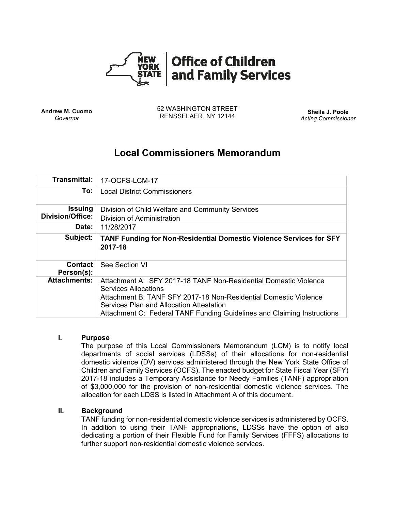

**Andrew M. Cuomo** *Governor*

52 WASHINGTON STREET RENSSELAER, NY 12144 **Sheila J. Poole**

*Acting Commissioner*

# **Local Commissioners Memorandum**

| <b>Transmittal:</b>          | 17-OCFS-LCM-17                                                                                               |
|------------------------------|--------------------------------------------------------------------------------------------------------------|
| To:                          | <b>Local District Commissioners</b>                                                                          |
| <b>Issuing</b>               | Division of Child Welfare and Community Services                                                             |
| <b>Division/Office:</b>      | Division of Administration                                                                                   |
| Date:                        | 11/28/2017                                                                                                   |
| Subject:                     | <b>TANF Funding for Non-Residential Domestic Violence Services for SFY</b><br>2017-18                        |
| <b>Contact</b><br>Person(s): | See Section VI                                                                                               |
| <b>Attachments:</b>          | Attachment A: SFY 2017-18 TANF Non-Residential Domestic Violence<br><b>Services Allocations</b>              |
|                              | Attachment B: TANF SFY 2017-18 Non-Residential Domestic Violence<br>Services Plan and Allocation Attestation |
|                              | Attachment C: Federal TANF Funding Guidelines and Claiming Instructions                                      |

### **I. Purpose**

The purpose of this Local Commissioners Memorandum (LCM) is to notify local departments of social services (LDSSs) of their allocations for non-residential domestic violence (DV) services administered through the New York State Office of Children and Family Services (OCFS). The enacted budget for State Fiscal Year (SFY) 2017-18 includes a Temporary Assistance for Needy Families (TANF) appropriation of \$3,000,000 for the provision of non-residential domestic violence services. The allocation for each LDSS is listed in Attachment A of this document.

## **II. Background**

TANF funding for non-residential domestic violence services is administered by OCFS. In addition to using their TANF appropriations, LDSSs have the option of also dedicating a portion of their Flexible Fund for Family Services (FFFS) allocations to further support non-residential domestic violence services.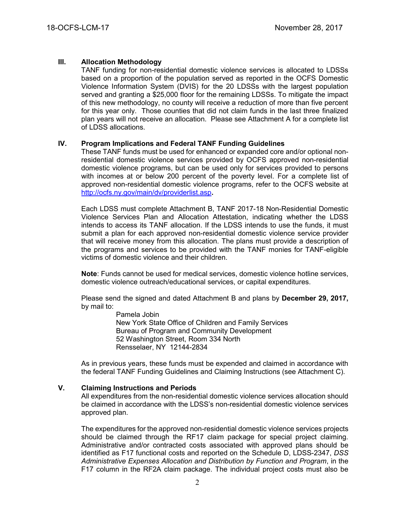## **III. Allocation Methodology**

TANF funding for non-residential domestic violence services is allocated to LDSSs based on a proportion of the population served as reported in the OCFS Domestic Violence Information System (DVIS) for the 20 LDSSs with the largest population served and granting a \$25,000 floor for the remaining LDSSs. To mitigate the impact of this new methodology, no county will receive a reduction of more than five percent for this year only. Those counties that did not claim funds in the last three finalized plan years will not receive an allocation. Please see Attachment A for a complete list of LDSS allocations.

### **IV. Program Implications and Federal TANF Funding Guidelines**

These TANF funds must be used for enhanced or expanded core and/or optional nonresidential domestic violence services provided by OCFS approved non-residential domestic violence programs, but can be used only for services provided to persons with incomes at or below 200 percent of the poverty level. For a complete list of approved non-residential domestic violence programs, refer to the OCFS website at <http://ocfs.ny.gov/main/dv/providerlist.asp>**.**

Each LDSS must complete Attachment B, TANF 2017-18 Non-Residential Domestic Violence Services Plan and Allocation Attestation, indicating whether the LDSS intends to access its TANF allocation. If the LDSS intends to use the funds, it must submit a plan for each approved non-residential domestic violence service provider that will receive money from this allocation. The plans must provide a description of the programs and services to be provided with the TANF monies for TANF-eligible victims of domestic violence and their children.

**Note**: Funds cannot be used for medical services, domestic violence hotline services, domestic violence outreach/educational services, or capital expenditures.

Please send the signed and dated Attachment B and plans by **December 29, 2017,** by mail to:

> Pamela Jobin New York State Office of Children and Family Services Bureau of Program and Community Development 52 Washington Street, Room 334 North Rensselaer, NY 12144-2834

As in previous years, these funds must be expended and claimed in accordance with the federal TANF Funding Guidelines and Claiming Instructions (see Attachment C).

### **V. Claiming Instructions and Periods**

All expenditures from the non-residential domestic violence services allocation should be claimed in accordance with the LDSS's non-residential domestic violence services approved plan.

The expenditures for the approved non-residential domestic violence services projects should be claimed through the RF17 claim package for special project claiming. Administrative and/or contracted costs associated with approved plans should be identified as F17 functional costs and reported on the Schedule D, LDSS-2347, *DSS Administrative Expenses Allocation and Distribution by Function and Program*, in the F17 column in the RF2A claim package. The individual project costs must also be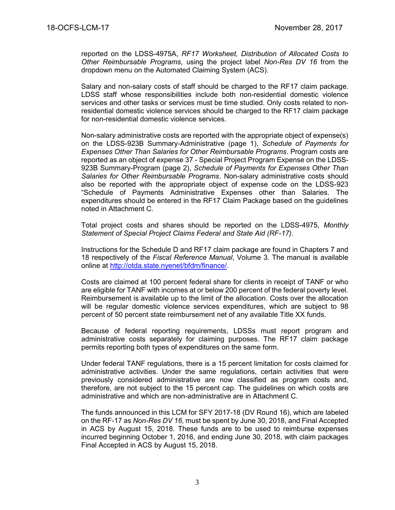reported on the LDSS-4975A, *RF17 Worksheet, Distribution of Allocated Costs to Other Reimbursable Programs*, using the project label *Non-Res DV 16* from the dropdown menu on the Automated Claiming System (ACS).

Salary and non-salary costs of staff should be charged to the RF17 claim package. LDSS staff whose responsibilities include both non-residential domestic violence services and other tasks or services must be time studied. Only costs related to nonresidential domestic violence services should be charged to the RF17 claim package for non-residential domestic violence services.

Non-salary administrative costs are reported with the appropriate object of expense(s) on the LDSS-923B Summary-Administrative (page 1), *Schedule of Payments for Expenses Other Than Salaries for Other Reimbursable Programs*. Program costs are reported as an object of expense 37 - Special Project Program Expense on the LDSS-923B Summary-Program (page 2), *Schedule of Payments for Expenses Other Than Salaries for Other Reimbursable Programs*. Non-salary administrative costs should also be reported with the appropriate object of expense code on the LDSS-923 "Schedule of Payments Administrative Expenses other than Salaries. The expenditures should be entered in the RF17 Claim Package based on the guidelines noted in Attachment C.

Total project costs and shares should be reported on the LDSS-4975, *Monthly Statement of Special Project Claims Federal and State Aid (RF-17).*

Instructions for the Schedule D and RF17 claim package are found in Chapters 7 and 18 respectively of the *Fiscal Reference Manual*, Volume 3. The manual is available online at [http://otda.state.nyenet/bfdm/finance/.](http://otda.state.nyenet/bfdm/finance/)

Costs are claimed at 100 percent federal share for clients in receipt of TANF or who are eligible for TANF with incomes at or below 200 percent of the federal poverty level. Reimbursement is available up to the limit of the allocation. Costs over the allocation will be regular domestic violence services expenditures, which are subject to 98 percent of 50 percent state reimbursement net of any available Title XX funds.

Because of federal reporting requirements, LDSSs must report program and administrative costs separately for claiming purposes. The RF17 claim package permits reporting both types of expenditures on the same form.

Under federal TANF regulations, there is a 15 percent limitation for costs claimed for administrative activities. Under the same regulations, certain activities that were previously considered administrative are now classified as program costs and, therefore, are not subject to the 15 percent cap. The guidelines on which costs are administrative and which are non-administrative are in Attachment C.

The funds announced in this LCM for SFY 2017-18 (DV Round 16), which are labeled on the RF-17 as *Non-Res DV 16*, must be spent by June 30, 2018, and Final Accepted in ACS by August 15, 2018. These funds are to be used to reimburse expenses incurred beginning October 1, 2016, and ending June 30, 2018, with claim packages Final Accepted in ACS by August 15, 2018.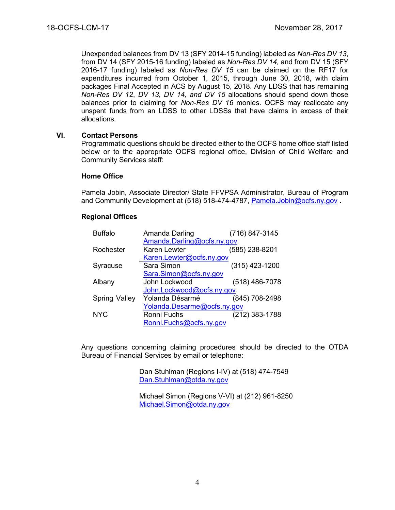Unexpended balances from DV 13 (SFY 2014-15 funding) labeled as *Non-Res DV 13*, from DV 14 (SFY 2015-16 funding) labeled as *Non-Res DV 14,* and from DV 15 (SFY 2016-17 funding) labeled as *Non-Res DV 15* can be claimed on the RF17 for expenditures incurred from October 1, 2015, through June 30, 2018, with claim packages Final Accepted in ACS by August 15, 2018. Any LDSS that has remaining *Non-Res DV 12*, *DV 13*, *DV 14, and DV 15* allocations should spend down those balances prior to claiming for *Non-Res DV 16* monies. OCFS may reallocate any unspent funds from an LDSS to other LDSSs that have claims in excess of their allocations.

### **VI. Contact Persons**

Programmatic questions should be directed either to the OCFS home office staff listed below or to the appropriate OCFS regional office, Division of Child Welfare and Community Services staff:

#### **Home Office**

Pamela Jobin, Associate Director/ State FFVPSA Administrator, Bureau of Program and Community Development at (518) 518-474-4787, [Pamela.Jobin@ocfs.ny.gov](mailto:Pamela.Jobin@ocfs.ny.gov) .

### **Regional Offices**

| <b>Buffalo</b>       | Amanda Darling              | (716) 847-3145   |  |
|----------------------|-----------------------------|------------------|--|
|                      | Amanda.Darling@ocfs.ny.gov  |                  |  |
| Rochester            | Karen Lewter                | (585) 238-8201   |  |
|                      | Karen.Lewter@ocfs.ny.gov    |                  |  |
| Syracuse             | Sara Simon                  | $(315)$ 423-1200 |  |
|                      | Sara.Simon@ocfs.ny.gov      |                  |  |
| Albany               | John Lockwood               | (518) 486-7078   |  |
|                      | John.Lockwood@ocfs.ny.gov   |                  |  |
| <b>Spring Valley</b> | Yolanda Désarmé             | (845) 708-2498   |  |
|                      | Yolanda.Desarme@ocfs.ny.gov |                  |  |
| <b>NYC</b>           | Ronni Fuchs                 | (212) 383-1788   |  |
|                      | Ronni.Fuchs@ocfs.ny.gov     |                  |  |

Any questions concerning claiming procedures should be directed to the OTDA Bureau of Financial Services by email or telephone:

> Dan Stuhlman (Regions I-IV) at (518) 474-7549 [Dan.Stuhlman@otda.ny.gov](mailto:Edward.Conway@otda.ny.gov)

Michael Simon (Regions V-VI) at (212) 961-8250 [Michael.Simon@otda.ny.gov](mailto:Michael.Simon@otda.ny.gov)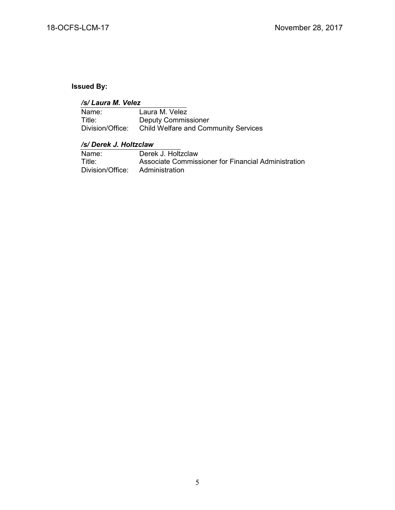# **Issued By:**

| /s/ Laura M. Velez |                                             |  |  |
|--------------------|---------------------------------------------|--|--|
| Name:              | Laura M. Velez                              |  |  |
| Title:             | <b>Deputy Commissioner</b>                  |  |  |
| Division/Office:   | <b>Child Welfare and Community Services</b> |  |  |

## */s/ Derek J. Holtzclaw*

| Name:            | Derek J. Holtzclaw                                  |
|------------------|-----------------------------------------------------|
| Title:           | Associate Commissioner for Financial Administration |
| Division/Office: | Administration                                      |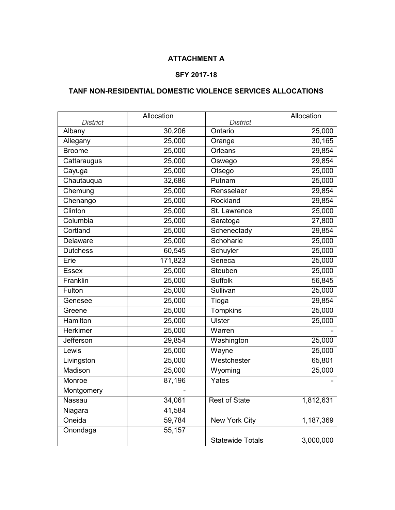## **ATTACHMENT A**

## **SFY 2017-18**

## **TANF NON-RESIDENTIAL DOMESTIC VIOLENCE SERVICES ALLOCATIONS**

| <b>District</b>  | Allocation | <b>District</b>         | Allocation |
|------------------|------------|-------------------------|------------|
| Albany           | 30,206     | Ontario                 | 25,000     |
| Allegany         | 25,000     | Orange                  | 30,165     |
| <b>Broome</b>    | 25,000     | Orleans                 | 29,854     |
| Cattaraugus      | 25,000     | Oswego                  | 29,854     |
| Cayuga           | 25,000     | Otsego                  | 25,000     |
| Chautauqua       | 32,686     | Putnam                  | 25,000     |
| Chemung          | 25,000     | Rensselaer              | 29,854     |
| Chenango         | 25,000     | Rockland                | 29,854     |
| Clinton          | 25,000     | St. Lawrence            | 25,000     |
| Columbia         | 25,000     | Saratoga                | 27,800     |
| Cortland         | 25,000     | Schenectady             | 29,854     |
| Delaware         | 25,000     | Schoharie               | 25,000     |
| <b>Dutchess</b>  | 60,545     | Schuyler                | 25,000     |
| Erie             | 171,823    | Seneca                  | 25,000     |
| <b>Essex</b>     | 25,000     | Steuben                 | 25,000     |
| Franklin         | 25,000     | <b>Suffolk</b>          | 56,845     |
| Fulton           | 25,000     | Sullivan                | 25,000     |
| Genesee          | 25,000     | Tioga                   | 29,854     |
| Greene           | 25,000     | Tompkins                | 25,000     |
| <b>Hamilton</b>  | 25,000     | <b>Ulster</b>           | 25,000     |
| <b>Herkimer</b>  | 25,000     | Warren                  |            |
| <b>Jefferson</b> | 29,854     | Washington              | 25,000     |
| Lewis            | 25,000     | Wayne                   | 25,000     |
| Livingston       | 25,000     | Westchester             | 65,801     |
| Madison          | 25,000     | Wyoming                 | 25,000     |
| Monroe           | 87,196     | Yates                   |            |
| Montgomery       |            |                         |            |
| <b>Nassau</b>    | 34,061     | <b>Rest of State</b>    | 1,812,631  |
| Niagara          | 41,584     |                         |            |
| Oneida           | 59,784     | New York City           | 1,187,369  |
| Onondaga         | 55,157     |                         |            |
|                  |            | <b>Statewide Totals</b> | 3,000,000  |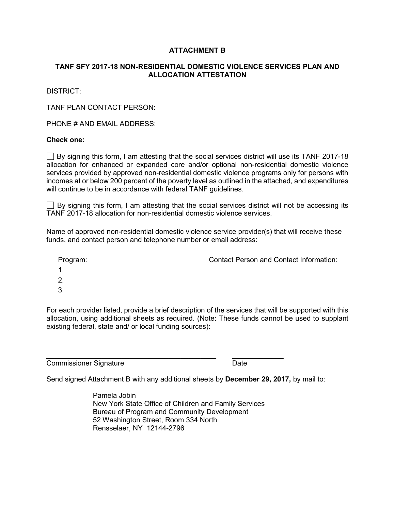## **ATTACHMENT B**

## **TANF SFY 2017-18 NON-RESIDENTIAL DOMESTIC VIOLENCE SERVICES PLAN AND ALLOCATION ATTESTATION**

DISTRICT:

TANF PLAN CONTACT PERSON:

PHONE # AND EMAIL ADDRESS:

### **Check one:**

 $\Box$  By signing this form, I am attesting that the social services district will use its TANF 2017-18 allocation for enhanced or expanded core and/or optional non-residential domestic violence services provided by approved non-residential domestic violence programs only for persons with incomes at or below 200 percent of the poverty level as outlined in the attached, and expenditures will continue to be in accordance with federal TANF guidelines.

 $\Box$  By signing this form, I am attesting that the social services district will not be accessing its TANF 2017-18 allocation for non-residential domestic violence services.

Name of approved non-residential domestic violence service provider(s) that will receive these funds, and contact person and telephone number or email address:

Program: Contact Person and Contact Information:

- 1.
- 2.
- 3.

For each provider listed, provide a brief description of the services that will be supported with this allocation, using additional sheets as required. (Note: These funds cannot be used to supplant existing federal, state and/ or local funding sources):

Commissioner Signature Date

\_\_\_\_\_\_\_\_\_\_\_\_\_\_\_\_\_\_\_\_\_\_\_\_\_\_\_\_\_\_\_\_\_\_\_\_\_\_\_\_\_\_\_ \_\_\_\_\_\_\_\_\_\_\_\_\_

Send signed Attachment B with any additional sheets by **December 29, 2017,** by mail to:

Pamela Jobin New York State Office of Children and Family Services Bureau of Program and Community Development 52 Washington Street, Room 334 North Rensselaer, NY 12144-2796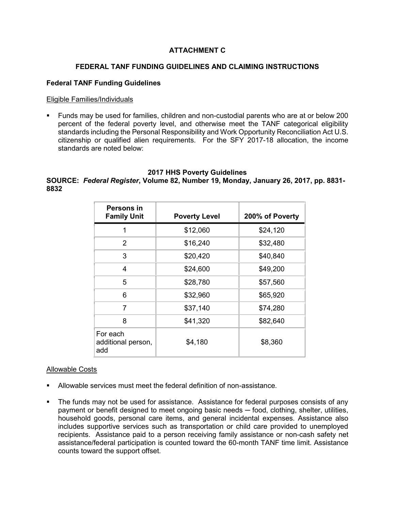## **ATTACHMENT C**

## **FEDERAL TANF FUNDING GUIDELINES AND CLAIMING INSTRUCTIONS**

#### **Federal TANF Funding Guidelines**

#### Eligible Families/Individuals

 Funds may be used for families, children and non-custodial parents who are at or below 200 percent of the federal poverty level, and otherwise meet the TANF categorical eligibility standards including the Personal Responsibility and Work Opportunity Reconciliation Act U.S. citizenship or qualified alien requirements. For the SFY 2017-18 allocation, the income standards are noted below:

#### **2017 HHS Poverty Guidelines**

## **SOURCE:** *Federal Register***, Volume 82, Number 19, Monday, January 26, 2017, pp. 8831- 8832**

| Persons in<br><b>Family Unit</b>      | <b>Poverty Level</b> | 200% of Poverty |
|---------------------------------------|----------------------|-----------------|
| 1                                     | \$12,060             | \$24,120        |
| 2                                     | \$16,240             | \$32,480        |
| 3                                     | \$20,420             | \$40,840        |
| 4                                     | \$24,600             | \$49,200        |
| 5                                     | \$28,780             | \$57,560        |
| 6                                     | \$32,960             | \$65,920        |
| 7                                     | \$37,140             | \$74,280        |
| 8                                     | \$41,320             | \$82,640        |
| For each<br>additional person,<br>add | \$4,180              | \$8,360         |

#### Allowable Costs

- Allowable services must meet the federal definition of non-assistance.
- The funds may not be used for assistance. Assistance for federal purposes consists of any payment or benefit designed to meet ongoing basic needs — food, clothing, shelter, utilities, household goods, personal care items, and general incidental expenses. Assistance also includes supportive services such as transportation or child care provided to unemployed recipients. Assistance paid to a person receiving family assistance or non-cash safety net assistance/federal participation is counted toward the 60-month TANF time limit. Assistance counts toward the support offset.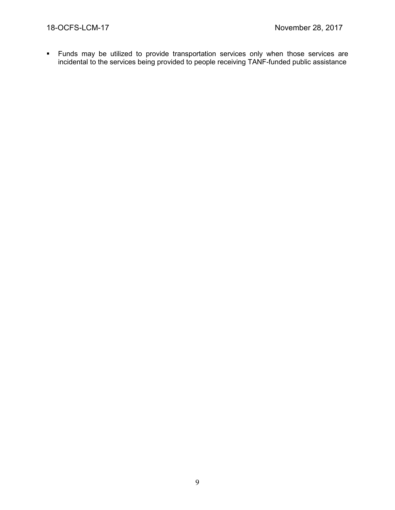Funds may be utilized to provide transportation services only when those services are incidental to the services being provided to people receiving TANF-funded public assistance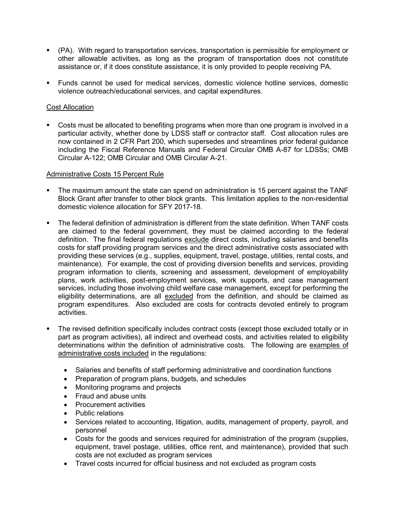- (PA). With regard to transportation services, transportation is permissible for employment or other allowable activities, as long as the program of transportation does not constitute assistance or, if it does constitute assistance, it is only provided to people receiving PA.
- Funds cannot be used for medical services, domestic violence hotline services, domestic violence outreach/educational services, and capital expenditures.

## Cost Allocation

 Costs must be allocated to benefiting programs when more than one program is involved in a particular activity, whether done by LDSS staff or contractor staff. Cost allocation rules are now contained in 2 CFR Part 200, which supersedes and streamlines prior federal guidance including the Fiscal Reference Manuals and Federal Circular OMB A-87 for LDSSs; OMB Circular A-122; OMB Circular and OMB Circular A-21.

#### Administrative Costs 15 Percent Rule

- The maximum amount the state can spend on administration is 15 percent against the TANF Block Grant after transfer to other block grants. This limitation applies to the non-residential domestic violence allocation for SFY 2017-18.
- The federal definition of administration is different from the state definition. When TANF costs are claimed to the federal government, they must be claimed according to the federal definition. The final federal regulations exclude direct costs, including salaries and benefits costs for staff providing program services and the direct administrative costs associated with providing these services (e.g., supplies, equipment, travel, postage, utilities, rental costs, and maintenance). For example, the cost of providing diversion benefits and services, providing program information to clients, screening and assessment, development of employability plans, work activities, post-employment services, work supports, and case management services, including those involving child welfare case management, except for performing the eligibility determinations, are all excluded from the definition, and should be claimed as program expenditures. Also excluded are costs for contracts devoted entirely to program activities.
- The revised definition specifically includes contract costs (except those excluded totally or in part as program activities), all indirect and overhead costs, and activities related to eligibility determinations within the definition of administrative costs. The following are examples of administrative costs included in the regulations:
	- Salaries and benefits of staff performing administrative and coordination functions
	- Preparation of program plans, budgets, and schedules
	- Monitoring programs and projects
	- Fraud and abuse units
	- Procurement activities
	- Public relations
	- Services related to accounting, litigation, audits, management of property, payroll, and personnel
	- Costs for the goods and services required for administration of the program (supplies, equipment, travel postage, utilities, office rent, and maintenance), provided that such costs are not excluded as program services
	- Travel costs incurred for official business and not excluded as program costs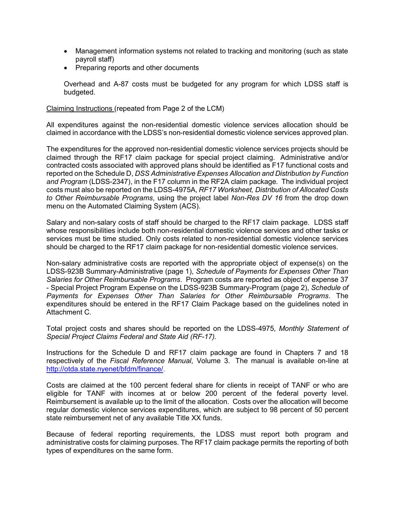- Management information systems not related to tracking and monitoring (such as state payroll staff)
- Preparing reports and other documents

Overhead and A-87 costs must be budgeted for any program for which LDSS staff is budgeted.

Claiming Instructions (repeated from Page 2 of the LCM)

All expenditures against the non-residential domestic violence services allocation should be claimed in accordance with the LDSS's non-residential domestic violence services approved plan.

The expenditures for the approved non-residential domestic violence services projects should be claimed through the RF17 claim package for special project claiming. Administrative and/or contracted costs associated with approved plans should be identified as F17 functional costs and reported on the Schedule D, *DSS Administrative Expenses Allocation and Distribution by Function and Program* (LDSS-2347), in the F17 column in the RF2A claim package. The individual project costs must also be reported on the LDSS-4975A, *RF17 Worksheet, Distribution of Allocated Costs to Other Reimbursable Programs*, using the project label *Non-Res DV 16* from the drop down menu on the Automated Claiming System (ACS).

Salary and non-salary costs of staff should be charged to the RF17 claim package. LDSS staff whose responsibilities include both non-residential domestic violence services and other tasks or services must be time studied. Only costs related to non-residential domestic violence services should be charged to the RF17 claim package for non-residential domestic violence services.

Non-salary administrative costs are reported with the appropriate object of expense(s) on the LDSS-923B Summary-Administrative (page 1), *Schedule of Payments for Expenses Other Than Salaries for Other Reimbursable Programs*. Program costs are reported as object of expense 37 - Special Project Program Expense on the LDSS-923B Summary-Program (page 2), *Schedule of Payments for Expenses Other Than Salaries for Other Reimbursable Programs*. The expenditures should be entered in the RF17 Claim Package based on the guidelines noted in Attachment C.

Total project costs and shares should be reported on the LDSS-4975, *Monthly Statement of Special Project Claims Federal and State Aid (RF-17).*

Instructions for the Schedule D and RF17 claim package are found in Chapters 7 and 18 respectively of the *Fiscal Reference Manual*, Volume 3. The manual is available on-line at [http://otda.state.nyenet/bfdm/finance/.](http://otda.state.nyenet/bfdm/finance/)

Costs are claimed at the 100 percent federal share for clients in receipt of TANF or who are eligible for TANF with incomes at or below 200 percent of the federal poverty level. Reimbursement is available up to the limit of the allocation. Costs over the allocation will become regular domestic violence services expenditures, which are subject to 98 percent of 50 percent state reimbursement net of any available Title XX funds.

Because of federal reporting requirements, the LDSS must report both program and administrative costs for claiming purposes. The RF17 claim package permits the reporting of both types of expenditures on the same form.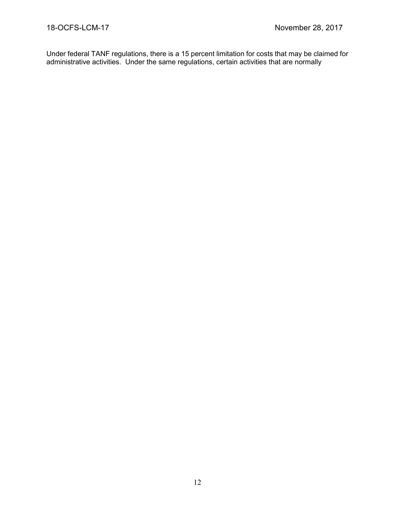Under federal TANF regulations, there is a 15 percent limitation for costs that may be claimed for administrative activities. Under the same regulations, certain activities that are normally